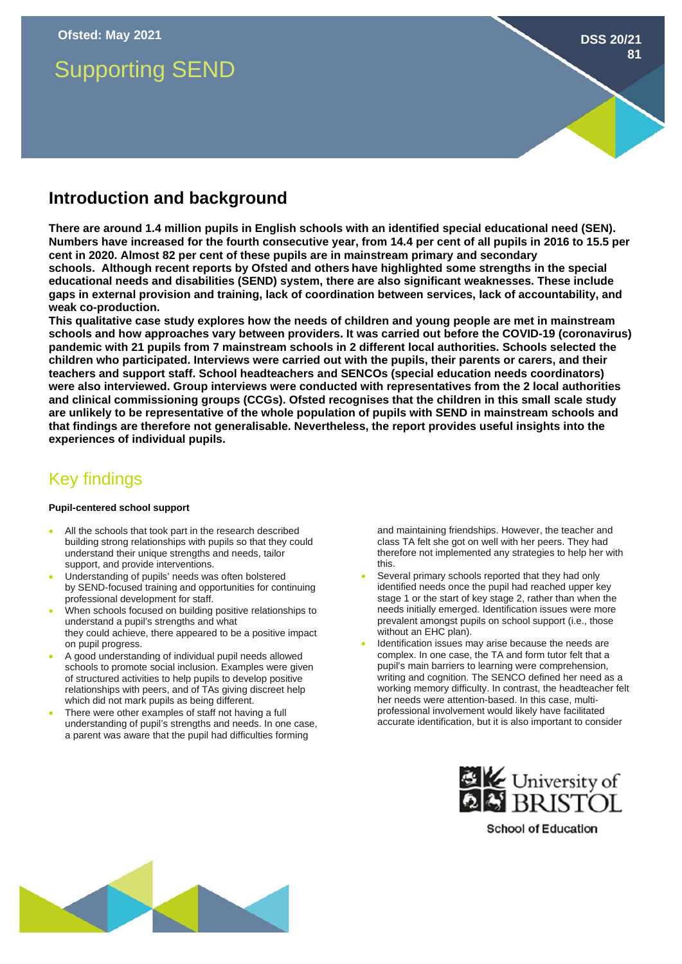# Supporting SEND

# **Introduction and background**

**There are around 1.4 million pupils in English schools with an identified special educational need (SEN). Numbers have increased for the fourth consecutive year, from 14.4 per cent of all pupils in 2016 to 15.5 per cent in 2020. Almost 82 per cent of these pupils are in mainstream primary and secondary schools. Although recent reports by Ofsted and others have highlighted some strengths in the special educational needs and disabilities (SEND) system, there are also significant weaknesses. These include gaps in external provision and training, lack of coordination between services, lack of accountability, and weak co-production.** 

**This qualitative case study explores how the needs of children and young people are met in mainstream schools and how approaches vary between providers. It was carried out before the COVID-19 (coronavirus) pandemic with 21 pupils from 7 mainstream schools in 2 different local authorities. Schools selected the children who participated. Interviews were carried out with the pupils, their parents or carers, and their teachers and support staff. School headteachers and SENCOs (special education needs coordinators) were also interviewed. Group interviews were conducted with representatives from the 2 local authorities and clinical commissioning groups (CCGs). Ofsted recognises that the children in this small scale study are unlikely to be representative of the whole population of pupils with SEND in mainstream schools and that findings are therefore not generalisable. Nevertheless, the report provides useful insights into the experiences of individual pupils.** 

# Key findings

# **Pupil-centered school support**

- All the schools that took part in the research described building strong relationships with pupils so that they could understand their unique strengths and needs, tailor support, and provide interventions.
- Understanding of pupils' needs was often bolstered by SEND-focused training and opportunities for continuing professional development for staff.
- When schools focused on building positive relationships to understand a pupil's strengths and what they could achieve, there appeared to be a positive impact on pupil progress.
- A good understanding of individual pupil needs allowed schools to promote social inclusion. Examples were given of structured activities to help pupils to develop positive relationships with peers, and of TAs giving discreet help which did not mark pupils as being different.
- There were other examples of staff not having a full understanding of pupil's strengths and needs. In one case, a parent was aware that the pupil had difficulties forming

and maintaining friendships. However, the teacher and class TA felt she got on well with her peers. They had therefore not implemented any strategies to help her with this.

**DSS 20/21**

**81**

- Several primary schools reported that they had only identified needs once the pupil had reached upper key stage 1 or the start of key stage 2, rather than when the needs initially emerged. Identification issues were more prevalent amongst pupils on school support (i.e., those without an EHC plan).
- Identification issues may arise because the needs are complex. In one case, the TA and form tutor felt that a pupil's main barriers to learning were comprehension, writing and cognition. The SENCO defined her need as a working memory difficulty. In contrast, the headteacher felt her needs were attention-based. In this case, multiprofessional involvement would likely have facilitated accurate identification, but it is also important to consider



**School of Education**